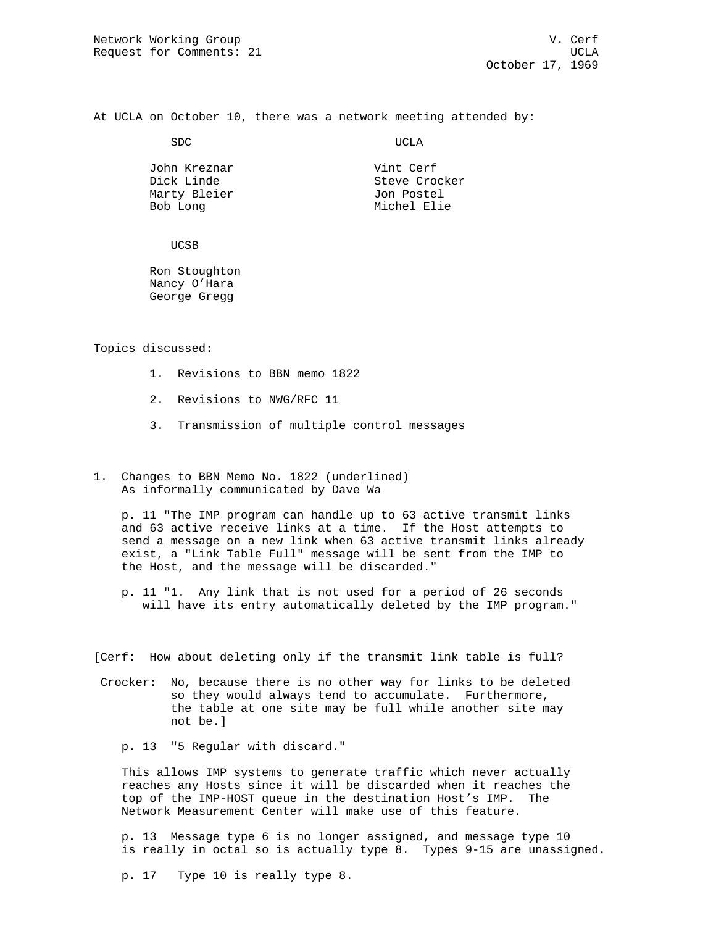At UCLA on October 10, there was a network meeting attended by:

SDC UCLA

John Kreznar **Vint Cerf** Dick Linde Steve Crocker Marty Bleier **Galler** Jon Postel Bob Long Michel Elie

UCSB

 Ron Stoughton Nancy O'Hara George Gregg

Topics discussed:

- 1. Revisions to BBN memo 1822
- 2. Revisions to NWG/RFC 11
- 3. Transmission of multiple control messages
- 1. Changes to BBN Memo No. 1822 (underlined) As informally communicated by Dave Wa

 p. 11 "The IMP program can handle up to 63 active transmit links and 63 active receive links at a time. If the Host attempts to send a message on a new link when 63 active transmit links already exist, a "Link Table Full" message will be sent from the IMP to the Host, and the message will be discarded."

- p. 11 "1. Any link that is not used for a period of 26 seconds will have its entry automatically deleted by the IMP program."
- [Cerf: How about deleting only if the transmit link table is full?
- Crocker: No, because there is no other way for links to be deleted so they would always tend to accumulate. Furthermore, the table at one site may be full while another site may not be.]

p. 13 "5 Regular with discard."

 This allows IMP systems to generate traffic which never actually reaches any Hosts since it will be discarded when it reaches the top of the IMP-HOST queue in the destination Host's IMP. The Network Measurement Center will make use of this feature.

 p. 13 Message type 6 is no longer assigned, and message type 10 is really in octal so is actually type 8. Types 9-15 are unassigned.

p. 17 Type 10 is really type 8.